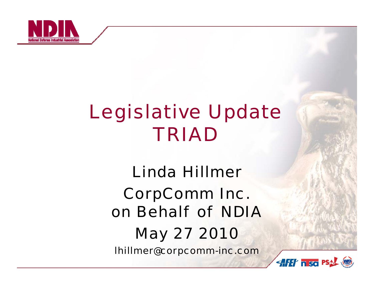

## *Legislative Update TRIAD*

*Linda HillmerCorpComm Inc. on Behalf of NDIAMay 27 2010*

*lhillmer@corpcomm-inc.com*

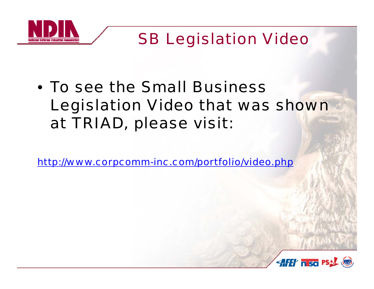

*SB Legislation Video*

#### • *To see the Small Business Legislation Video that was shown at TRIAD, please visit:*

*http://www corpcomm http://www.corpcomm -inc com/portfolio/video php inc.com/portfolio/video.php*

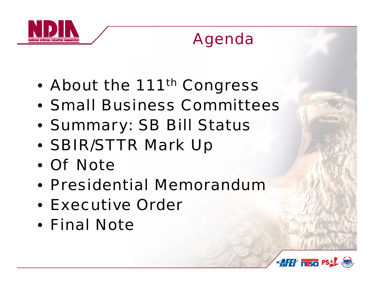

### *Agenda*

- $\bullet$ *About the 111th Congress*
- *Small Business Committees*
- *Summary: SB Bill Status*
- *SBIR/STTR Mark Up*
- *Of Note*
- *Presidential Memorandum*
- *Executive Order*
- *Final Note*

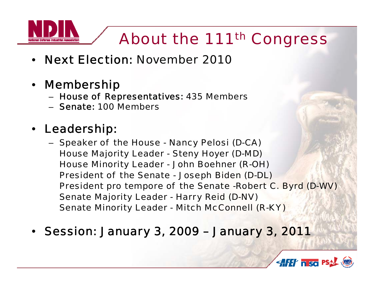### *About the 111th Congress*

- •*Next Election: November 2010*
- *Membership*
	- *House of Representatives: 435 Members*
	- *Senate: 100 Members*
- *L d hi Leadership:* 
	- *Speaker of the House - Nancy Pelosi (D-CA) House Majority Leader - Steny Hoyer (D-MD) H Mi it L d House Minority Leader - J h B h (R John Boehner (R-OH) President of the Senate - Joseph Biden (D-DL) President pro tempore of the Senate -Robert C. Byrd (D-WV) Senate Majority Leader - Harry Reid (D-NV) Senate Minority Leader - Mitch McConnell (R-KY)*
- Session: January 3, 2009 January 3, 2011

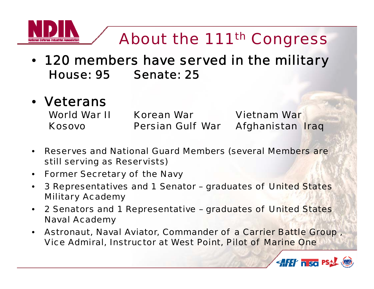

#### *About the 111th Congress*

- *120 members have served in the military House: 95 Senate: 25*
- *Veterans*

*World War II Korean War Vietnam WarKosovoPersian Gulf War Afghanistan Iraq*

- $\bullet$  *Reserves and National Guard Members (several Members are still serving as Reservists)*
- $\bullet$ *Former Secretary of the Navy*
- $\bullet$  *3 Representatives and 1 Senator – graduates of United States Military Academy*
- $\bullet$  *2 Senators and 1 Representative – graduates of United States Naval Academy*
- $\bullet$  *Astronaut, , p, Naval Aviator, Commander of a Carrier Battle Group , Vice Admiral, Instructor at West Point, Pilot of Marine One*

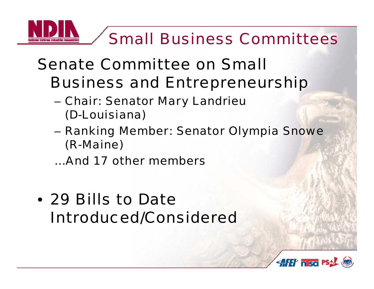# *Small Business Committees*

### *Senate Committee on SmallBusiness and Entrepreneurship*

- *Chair: Senator Mary Landrieu (D-Louisiana)*
- – *Ranking Member: Senator Olympia Snowe (R-Maine)*

*…And 17 other members*

• *29 Bills to Date Introduced/Considered*

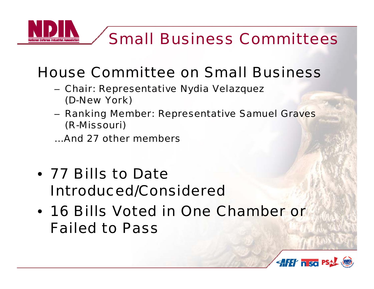

#### *House Committee on Small Business*

- *Chair: Representative Nydia Velazquez (D-New York)*
- *Ranking Member: Representative Samuel Graves (R -Missouri)*

*…And 27 other members*

- *77 Bills to Date Introduced/Considered*
- *16 Bills Voted in One Chamber or Failed to Pass*

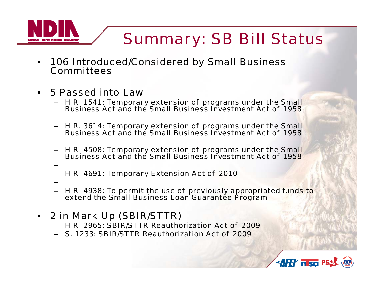*Summary: SB Bill Status*

- • *106 Introduced/Considered by Small Business Committees*
- •*n 5 Passed into Law* 
	- *H.R. 1541: Temporary extension of programs under the Small Business Act and the Small Business Investment Act of 1958*
	- *H R 3614: H.R. Temporary extension of programs under the Small Business Act and the Small Business Investment Act of 1958*
	- *H.R. 4508: Temporary extension of programs under the Small Business Act and the Small Business Investment Act of 1958*
- –– *H.R. 4691: Temporary Extension Act of 2010*
	- –

–

–

- – *H.R. 4938: To permit the use of previously appropriated funds to extend the Small Business Loan Guarantee Program*
- *2 in Mark Up (SBIR/STTR)*
	- *H.R. 2965: SBIR/STTR Reauthorization Act of 2009*
	- –*S. 1233: SBIR/STTR Reauthorization Act of 2009*

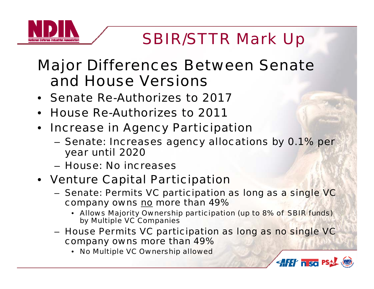### *SBIR/STTR Mark Up*

#### *Major Differences Between Senate and House Versions*

- *Senate Re-Authorizes to 2017*
- •*House Re-Authorizes to 2011*
- • *Increase in Agency Participation* 
	- *Senate: Increases agency allocations by 0.1% per year until 2020*
	- *H N i House: N o increases*
- *Venture Capital Participation*
	- *Senate: Permits VC participation as long as a single VC company owns no more than 49%*
		- *Allows Majority Ownership participation (up to 8% of SBIR funds) by Multiple VC Companies*

**AFET nso PSAL (SE)** 

- *House Permits VC participation as long as no single VC company owns more than 49%*
	- *No Multiple VC Ownership allowed*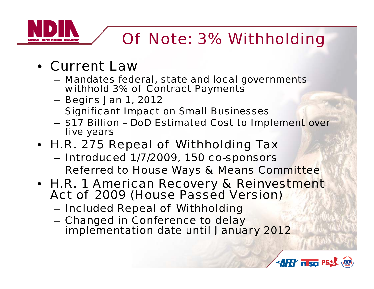### *Of Note: 3% Withholding*

- *Current Law* 
	- *Mandates federal, state and local governments withhold 3% of Contract Payments*
	- *Begins Jan 1, 2012*
	- *Significant Impact on Small Businesses*
	- *\$17 Billion – Do D Estimated Cost to Im plement over five years*
- *H.R. 275 Repeal of Withholding Tax*
	- *Introduced 1/7/2009, 150 co - s ponsors*
	- –*Referred to House Ways & Means Committee*
- *H.R. 1 American Recovery & Reinvestment Act of 2009 (House Passed Version)* 
	- –*Included Repeal of Withholding*
	- – *Changed in Conference to delay im p y lementation date until Januar y 2012*

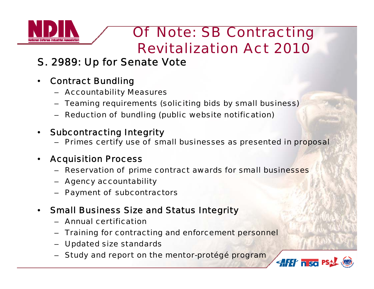

#### *Of Note: SB Contracting Revitalization Act 2010*

#### *S. 2989: Up for Senate Vote*

- • *Contract Bundling*
	- *Accountability Measures*
	- *Teaming requirements (soliciting bids by small business)*
	- *Reduction of bundling (public website notification)*

#### •*Subcontracting Integrity*

– *Primes certify use of small businesses as presented in proposal*

#### •*Ac quisition Process*

- *Reservation of prime contract awards for small businesses*
- *Agency accountability*
- *Payment of subcontractors*
- $\bullet$  *Small Business Size and Status Integrity*
	- *Annual certification*
	- *Training for contracting and enforcement personnel*
	- *Updated size standards*
	- *Study and report on the mentor-protégé program*

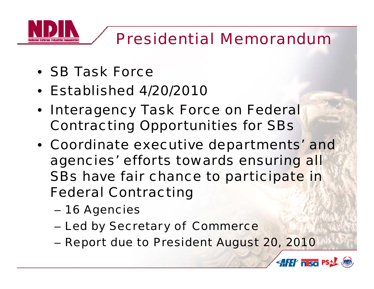# *Presidential Memorandum*

- *SB Task Force*
- *Established 4/20/2010*
- *Interagency Task Force on Federal Contracting Opportunities for SBs*
- *Coordinate executive departments' and agencies efforts towards ensuring all ' SBs have fair chance to participate in Federal Contractin g*
	- *16 Agencies*
	- *Led by Secretary of Commerce*
	- *Report due to President August 20, 2010*

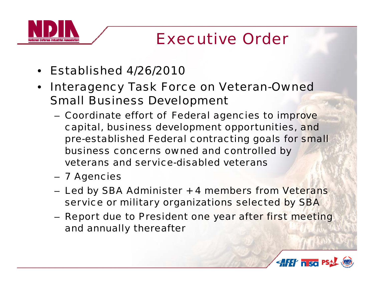#### *Executive Order*

- •*Established 4/26/2010*
- $\bullet$ **• Interagency Task Force on Veteran-Owned** *Small Business Development* 
	- *Coordinate effort of Federal agencies to improve capital business development opportunities and capital, opportunities, pre-established Federal contracting goals for small business concerns owned and controlled by veterans and service-disabled veterans*
	- *7 Agencies*
	- *Led by SBA Administer + 4 members from Veterans service or military organizations selected by SBA*
	- *Report due to President one year after first meeting and annually thereafter*